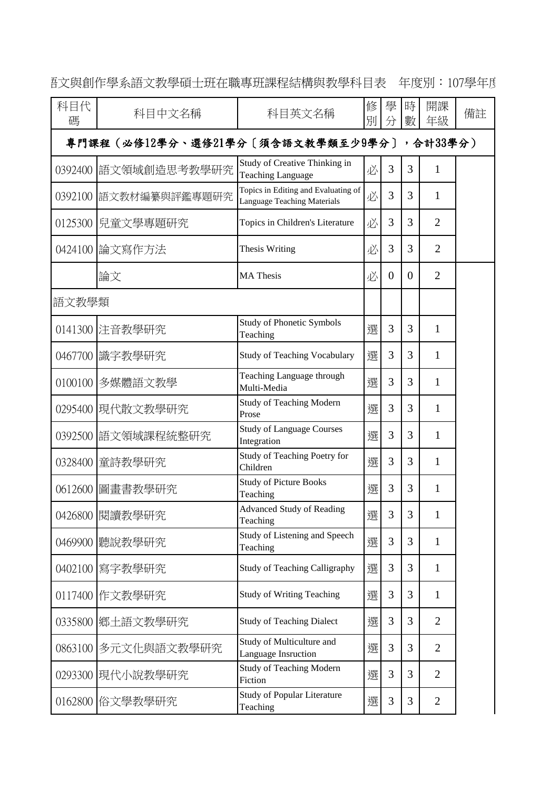| 科目代<br>碼                                 | 科目中文名稱                | 科目英文名稱                                                                    | 修<br>別 | 學<br>分   | 時<br>數   | 開課<br>年級       | 備註 |  |  |
|------------------------------------------|-----------------------|---------------------------------------------------------------------------|--------|----------|----------|----------------|----|--|--|
| 專門課程(必修12學分、選修21學分〔須含語文教學類至少9學分〕,合計33學分) |                       |                                                                           |        |          |          |                |    |  |  |
| 0392400                                  | 語文領域創造思考教學研究          | Study of Creative Thinking in<br><b>Teaching Language</b>                 | 必      | 3        | 3        | $\mathbf{1}$   |    |  |  |
|                                          | 0392100 語文教材編纂與評鑑專題研究 | Topics in Editing and Evaluating of<br><b>Language Teaching Materials</b> | 必      | 3        | 3        | 1              |    |  |  |
|                                          | 0125300   兒童文學專題研究    | Topics in Children's Literature                                           | 必      | 3        | 3        | $\overline{2}$ |    |  |  |
|                                          | 0424100 論文寫作方法        | Thesis Writing                                                            | 必      | 3        | 3        | $\overline{2}$ |    |  |  |
|                                          | 論文                    | <b>MA</b> Thesis                                                          | 必      | $\theta$ | $\Omega$ | $\overline{2}$ |    |  |  |
| 語文教學類                                    |                       |                                                                           |        |          |          |                |    |  |  |
|                                          | 0141300 注音教學研究        | <b>Study of Phonetic Symbols</b><br>Teaching                              | 選      | 3        | 3        | $\mathbf{1}$   |    |  |  |
|                                          | 0467700  識字教學研究       | <b>Study of Teaching Vocabulary</b>                                       | 選      | 3        | 3        | $\mathbf{1}$   |    |  |  |
| 0100100                                  | 多媒體語文教學               | Teaching Language through<br>Multi-Media                                  | 選      | 3        | 3        | $\mathbf{1}$   |    |  |  |
|                                          | 0295400  現代散文教學研究     | <b>Study of Teaching Modern</b><br>Prose                                  | 選      | 3        | 3        | 1              |    |  |  |
|                                          | 0392500 語文領域課程統整研究    | <b>Study of Language Courses</b><br>Integration                           | 選      | 3        | 3        | 1              |    |  |  |
|                                          | 0328400 童詩教學研究        | Study of Teaching Poetry for<br>Children                                  | 選      | 3        | 3        | $\mathbf{1}$   |    |  |  |
| 0612600                                  | 圖畫書教學研究               | <b>Study of Picture Books</b><br>Teaching                                 | 撰      | 3        | 3        | 1              |    |  |  |
|                                          | 0426800 閱讀教學研究        | <b>Advanced Study of Reading</b><br>Teaching                              | 選      | 3        | 3        | $\mathbf{1}$   |    |  |  |
|                                          | 0469900 聽說教學研究        | Study of Listening and Speech<br>Teaching                                 | 選      | 3        | 3        | $\mathbf{1}$   |    |  |  |
| 0402100                                  | 寫字教學研究                | <b>Study of Teaching Calligraphy</b>                                      | 選      | 3        | 3        | $\mathbf{1}$   |    |  |  |
|                                          | 0117400 作文教學研究        | <b>Study of Writing Teaching</b>                                          | 選      | 3        | 3        | $\mathbf{1}$   |    |  |  |
|                                          | 0335800   鄉土語文教學研究    | <b>Study of Teaching Dialect</b>                                          | 選      | 3        | 3        | $\overline{2}$ |    |  |  |
|                                          | 0863100  多元文化與語文教學研究  | Study of Multiculture and<br>Language Insruction                          | 選      | 3        | 3        | $\overline{2}$ |    |  |  |
|                                          | 0293300  現代小說教學研究     | <b>Study of Teaching Modern</b><br>Fiction                                | 選      | 3        | 3        | $\overline{2}$ |    |  |  |
|                                          | 0162800 俗文學教學研究       | <b>Study of Popular Literature</b><br>Teaching                            | 選      | 3        | 3        | $\mathbf{2}$   |    |  |  |

語文與創作學系語文教學碩士班在職專班課程結構與教學科目表 年度別:107學年度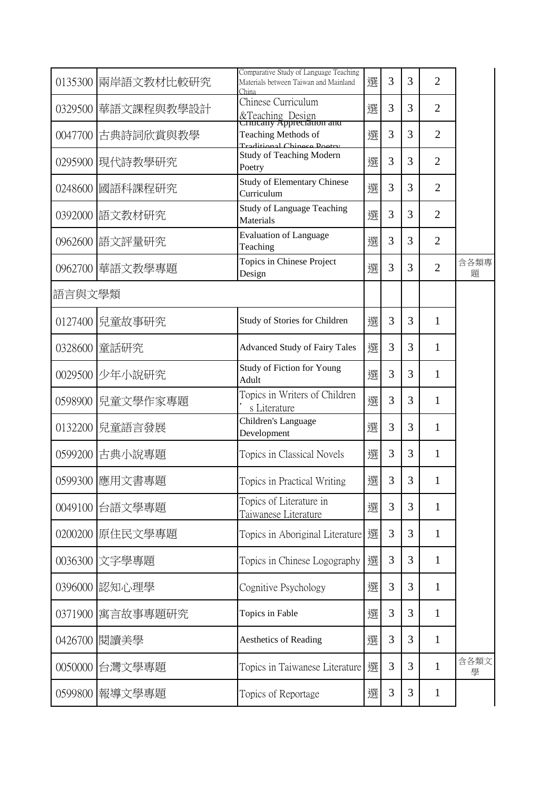|         | 0135300 兩岸語文教材比較研究 | Comparative Study of Language Teaching<br>Materials between Taiwan and Mainland<br>China | 選 | 3 | 3 | $\overline{2}$ |           |
|---------|--------------------|------------------------------------------------------------------------------------------|---|---|---|----------------|-----------|
| 0329500 | 華語文課程與教學設計         | Chinese Curriculum<br>&Teaching Design<br>Critically Appreciation and                    | 選 | 3 | 3 | $\overline{2}$ |           |
| 0047700 | 古典詩詞欣賞與教學          | Teaching Methods of<br>Traditional Chinese Doetry                                        | 選 | 3 | 3 | $\overline{2}$ |           |
|         | 0295900 現代詩教學研究    | <b>Study of Teaching Modern</b><br>Poetry                                                | 選 | 3 | 3 | $\overline{2}$ |           |
| 0248600 | 國語科課程研究            | <b>Study of Elementary Chinese</b><br>Curriculum                                         | 選 | 3 | 3 | $\overline{2}$ |           |
|         | 0392000  語文教材研究    | <b>Study of Language Teaching</b><br>Materials                                           | 選 | 3 | 3 | $\overline{2}$ |           |
|         | 0962600  語文評量研究    | <b>Evaluation of Language</b><br>Teaching                                                | 選 | 3 | 3 | $\overline{2}$ |           |
|         | 0962700 華語文教學專題    | Topics in Chinese Project<br>Design                                                      | 選 | 3 | 3 | $\overline{2}$ | 含各類專<br>題 |
| 語言與文學類  |                    |                                                                                          |   |   |   |                |           |
|         | 0127400   兒童故事研究   | Study of Stories for Children                                                            | 選 | 3 | 3 | 1              |           |
|         | 0328600 童話研究       | <b>Advanced Study of Fairy Tales</b>                                                     | 選 | 3 | 3 | 1              |           |
|         | 0029500 少年小說研究     | Study of Fiction for Young<br>Adult                                                      | 選 | 3 | 3 | 1              |           |
| 0598900 | 兒童文學作家專題           | Topics in Writers of Children<br>s Literature                                            | 選 | 3 | 3 | 1              |           |
|         | 0132200 兒童語言發展     | Children's Language<br>Development                                                       | 選 | 3 | 3 | 1              |           |
|         | 0599200 古典小說專題     | Topics in Classical Novels                                                               | 選 | 3 | 3 | 1              |           |
|         | 0599300  應用文書專題    | Topics in Practical Writing                                                              | 選 | 3 | 3 | 1              |           |
| 0049100 | 台語文學專題             | Topics of Literature in<br>Taiwanese Literature                                          | 選 | 3 | 3 | 1              |           |
| 0200200 | 原住民文學專題            | Topics in Aboriginal Literature                                                          | 選 | 3 | 3 | 1              |           |
|         | 0036300 文字學專題      | Topics in Chinese Logography                                                             | 選 | 3 | 3 | 1              |           |
| 0396000 | 認知心理學              | Cognitive Psychology                                                                     | 選 | 3 | 3 | 1              |           |
| 0371900 | 寓言故事專題研究           | Topics in Fable                                                                          | 選 | 3 | 3 | 1              |           |
| 0426700 | 閱讀美學               | <b>Aesthetics of Reading</b>                                                             | 選 | 3 | 3 | 1              |           |
| 0050000 | 台灣文學專題             | Topics in Taiwanese Literature                                                           | 選 | 3 | 3 | 1              | 含各類文<br>學 |
| 0599800 | 報導文學專題             | Topics of Reportage                                                                      | 選 | 3 | 3 | 1              |           |